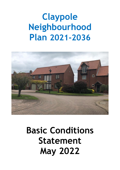# **Claypole Neighbourhood Plan 2021-2036**



# **Basic Conditions Statement May 2022**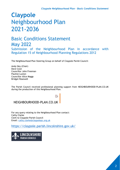# **Claypole** Neighbourhood Plan 2021-2036

### Basic Conditions Statement May 2022

Submission of the Neighbourhood Plan in accordance with Regulation 15 of Neighbourhood Planning Regulations 2012

The Neighbourhood Plan Steering Group on behalf of Claypole Parish Council:

Andy Hey (Chair) Dave Coxe Councillor John Freeman Pauline Luxton Councillor Alice Maggs Bridget Rosewell

The Parish Council received professional planning support from NEIGHBOURHOOD-PLAN.CO.UK during the production of this Neighbourhood Plan.

### NEIGHBOURHOOD-PLAN.CO.UK

For any query relating to the Neighbourhood Plan contact: Cathy Clarke Clerk to Claypole Parish Council Email: [cathy.clarke@claypolepc.org.uk](mailto:cathy.clarke@claypolepc.org.uk)

<https://claypole.parish.lincolnshire.gov.uk/>

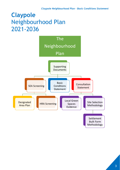### **Claypole** Neighbourhood Plan 2021-2036

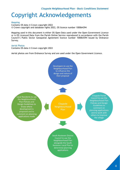### Copyright Acknowledgements

#### Mapping

Contains OS data © Crown copyright 2022 © Crown copyright and database rights 2022, OS licence number 100064394

Mapping used in this document is either OS Open Data used under the Open Government Licence or is OS Licenced Data from the Parish Online Service reproduced in accordance with the Parish Council's Public Sector Geospatial Agreement licence number 100064394 issued by Ordnance Survey.

#### Aerial Photos

Contains OS data © Crown copyright 2022

Aerial photos are from Ordnance Survey and are used under the Open Government Licence.

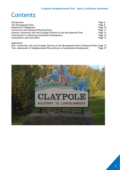### Contents

| Introduction                                                           | Page 6  |
|------------------------------------------------------------------------|---------|
| The Development Plan                                                   | Page 8  |
| <b>Retained EU Obligations</b>                                         | Page 10 |
| Conformity with National Planning Policy                               | Page 11 |
| General conformity with the Strategic Policies of the Development Plan | Page 12 |
| Contribution to Achieving Sustainable Development                      | Page 12 |
| <b>Consultation and Conclusion</b>                                     | Page 13 |

#### Appendices

One: Conformity with the Strategic Policies of the Development Plan & National Policy Page 15<br>Two: Assessment of Neighbourhood Plan policies on Sustainable Development Page 27 Two: Assessment of Neighbourhood Plan policies on Sustainable Development

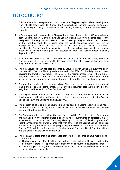### Introduction

- 1. This Statement has been prepared to accompany the Claypole Neighbourhood Development Plan ('the Neighbourhood Plan') under the Neighbourhood Planning (General) Regulations 2012 ('the Regulations'). The relevant local planning authority is South Kesteven District Council.
- 2. A formal application was made by Claypole Parish Council on 21 July 2013 as a 'relevant body' under Section 61G of the Town and Country Planning Act 1990 (as amended) for the designation of a neighbourhood area in order to develop a neighbourhood plan. The area of the Neighbourhood Plan is based upon the parish boundary, which was seen as appropriate as this area is recognised as the distinct community of Claypole. The request was that the Parish Council be recognised as a Neighbourhood Area for the purpose of producing a neighbourhood plan, in accordance with the Neighbourhood Planning Regulations 2012.
- 3. South Kesteven District Council publicised this application to produce a Neighbourhood Plan as required by statute. South Kesteven [designated](http://www.southkesteven.gov.uk/index.aspx?articleid=8397)<sup>1</sup> the Parish of Claypole as a neighbourhood area on 19 March 2014.
- 4. The Neighbourhood Plan has been prepared by Claypole Parish Council, a qualifying body, (Section 38A (12) of the Planning and Compensation Act 2004) for the Neighbourhood Area covering the Parish of Claypole. The name of the neighbourhood area is the 'Claypole Neighbourhood Area'. It does not relate to more than one neighbourhood area and there are no other neighbourhood development plans in place within the neighbourhood area.
- 5. The policies described in the Neighbourhood Plan relate to the development and use of land in the designated Neighbourhood Area only. The document sets out the period of the Neighbourhood Plan which is from 2021 to 2036.
- 6. The Neighbourhood Plan does not deal with county matters (mineral extraction and waste development), nationally significant infrastructure or any other matters set out in Section 61K of the Town and Country Planning Act 1990.
- 7. The decision to develop a neighbourhood plan was based on adding local value and needs specific to the Parish of Claypole that are not covered in the NPPF or other parts of the statutory Development Plan.
- 8. The Statement addresses each of the four 'basic conditions' required of the Regulations and explains how the Neighbourhood Plan meets the requirements of paragraph 8(2) of Schedule 4B to the 1990 Town & Country Planning Act. As part of developing the Draft Neighbourhood Plan the Parish Council met with officers of the District Council to discuss matters including the timescales for progressing the review of the South Kesteven Local Plan to 2036 and the conformity of the Neighbourhood Plan to National Planning policies and the policies of the Development Plan.
- 9. The Regulations state that a neighbourhood plan will be considered to have met the basic conditions if:
	- Having regard to national policies and advice contained in guidance issued by the Secretary of State, it is appropriate to make the neighbourhood development plan;
	- The making of the neighbourhood development plan contributes to the achievement of sustainable development;

<sup>1</sup> http://www.southkesteven.gov.uk/index.aspx?articleid=8397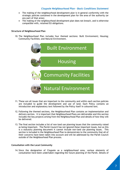- The making of the neighbourhood development plan is in general conformity with the strategic policies contained in the development plan for the area of the authority (or any part of that area);
- The making of the neighbourhood development plan does not breach, and is otherwise compatible with, retained EU obligations.

#### **Structure of Neighbourhood Plan**

10. The Neighbourhood Plan includes four themed sections: Built Environment; Housing; Community Facilities; and Natural Environment.



- 11. These are all issues that are important to the community and within each section policies are included to guide the development and use of land. Each Policy contains an introduction and explanatory text followed by the Policy itself in coloured text.
- 12. Following the themed sections, the Neighbourhood Plan contains an implementation and delivery section. It is important that Neighbourhood Plans are deliverable and this section includes the key projects arising from the Neighbourhood Plan and details of how they will be delivered.
- 13. The final section includes a list of non-land use planning issues that the community raised as being important. The Parish Council has not ignored these important issues, but as this is a statutory planning document it cannot include non-land use planning issues. This section is included in the Neighbourhood Plan to demonstrate to the community that all of their concerns have been taken into account and will be addressed by the Parish Council outside of the Neighbourhood Plan process.

#### **Consultation with the Local Community**

14. Since the designation of Claypole as a neighbourhood area, various elements of consultation have been undertaken regarding the future planning of the Parish. Details of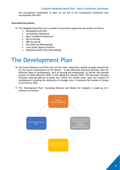the consultation undertaken to date are set out in the Consultation Statement that accompanies this Plan.

#### **Associated Documents**

- 15. The Neighbourhood Plan has a number of associated supporting documents as follows:
	- Designated Area Plan
	- Consultation Statement
	- Basic Conditions Statement
	- SEA Screening
	- HRA Screening
	- Site Selection Methodology
	- Local Green Spaces Evidence
	- Settlement Built Form Methodology

### The Development Plan

- 16. The South Kesteven Local Plan sets out the vision, objectives, spatial strategy and policies for the future development of the district. It also identifies land and allocates sites for different types of development, such as housing and employment, to deliver the planned growth for South Kesteven 2036. It was adopted in January 2020. The document includes strategic planning policies to guide and control the overall scale, type and location of development including the allocation of strategic sites. It indicates the number of homes to be built by 2036.
- 17. The 'Development Plan' (including Minerals and Waste) for Claypole is made up of 4 elements as follows:

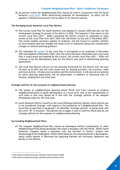18. All policies within the Neighbourhood Plan should be read in conjunction with the South Kesteven [Local Plan](http://www.southkesteven.gov.uk/index.aspx?articleid=14904)<sup>2</sup>. When determining proposals for development, no policy will be applied in isolation and account will be taken of all relevant policies.

#### **The Emerging South Kesteven Local Plan Review**

- 19. The current Local Plan for South Kesteven was adopted in January 2020 and sets out the development strategy for growth of the district to 2036. The Inspector's final report on the current Local Plan (2011 - 2036) committed the District Council to undertake an early review of the Local Plan from April 2020 with submission by the end of December 2023. The review enables necessary updates of evidence, and the Council to consider whether its local housing need has changed and needs to be re-evaluated taking into consideration changes to national planning guidance.
- 20. The timetable for [review](http://www.southkesteven.gov.uk/index.aspx?articleid=15133)<sup>3</sup> of the Local Plan is anticipated to be examined in December 2023 and adopted in December 2024, until the review has been undertaken and a new Local Plan is found sound and adopted by the Council, the current Local Plan (2011 - 2036) will continue to be the development plan for the district and used in determining planning applications.
- 21. The Local Plan Review will set out the planning framework for the district over the next 20 years up to 2041 and will cover issues such as; housing provision, the economy, retail and town centres, infrastructure provision and the environment. It will also set out policies by which planning applications will be determined, in addition to allocating land for housing, employment and retail uses.

#### **Strategic policies for the purposes of neighbourhood planning**

- 22. The system of neighbourhood planning allows Parish and Town Councils to produce neighbourhood plans to guide development at a local level. One of the requirements of such plans is that they should be in line with the 'strategic policies' of the adopted development plan for the local area.
- 23. South Kesteven District Council as the Local Planning Authority defines which policies are to be considered 'strategic' with regard to the production of a Neighbourhood Plan. The Local Plan as specified in paragraph 1.23 identifies 'strategic policies' as being those with the suffix 'SP' in brackets. The policies list on pages vi and vii confirms which policies are strategic policies for the purposes of neighbourhood planning.

#### **Surrounding Neighbourhood Plans**

24. The Claypole Neighbourhood Plan cannot be developed without consideration of other Neighbourhood Plans being developed who share a boundary with the Parish. Within South Kesteven, Claypole shares a boundary with the Parishes of Fenton, Stubton and Westborough & Dry Doddington. Within North Kesteven the adjoining Parish is Beckingham; whilst within Newark & Sherwood the adjoining Parishes are Fernwood, Balderton and Barnby in the Willows.

<sup>2</sup> http://www.southkesteven.gov.uk/index.aspx?articleid=14904

<sup>3</sup> http://www.southkesteven.gov.uk/index.aspx?articleid=15133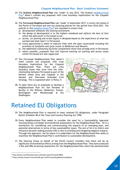- 25. The **Stubton Neighbourhood Plan** was 'made' in July 2015. The Stubton [Neighbourhood](http://www.southkesteven.gov.uk/index.aspx?articleid=8958)  [Plan](http://www.southkesteven.gov.uk/index.aspx?articleid=8958)<sup>4</sup> doesn't contain any proposals with cross boundary implications for the Claypole Neighbourhood Plan
- 26. The **Fernwood Neighbourhood Plan** was 'made' in September 2017, it covers the whole of the Parish of Fernwood and sets out planning policies for the period from 2016-2031. The policies in this [Neighbourhood Plan](https://www.newark-sherwooddc.gov.uk/fernwoodneighbourhoodplan/)<sup>5</sup> are intended to ensure that:
	- *a) development enhances the existing settlement;*
	- *b) the design of development is to the highest standards and reflects the best of that which has been built in Fernwood so far;*
	- *c) access, car parking and street layout is designed based on the experience of what has worked and what hasn't in Fernwood;*
	- *d) every opportunity is taken to improve links with the open countryside including the provision of footpaths and cycle routes to Balderton and Newark;*
	- *e) the additional community facilities complement those that already exist in Fernwood;*
	- *f) where possible, proposals that will improve existing car parking and access issues within Fernwood are also supported.*
- 27. The Fernwood Neighbourhood Plan doesn't itself contain any proposals with cross boundary implications for the Claypole Neighbourhood Plan. There are cross boundary issues that arise from the interrelationship between Fernwood as part of the Newark Urban Area and Claypole in the Newark and Sherwood Amended Core Strategy. This is explained later in Policy 4.
- 28. To date there are no proposals to develop a Neighbourhood Plan for the Parishes of Barnby in the Willows, Balderton, Fenton, Beckingham and Westborough & Dry Doddington.



### Retained EU Obligations

- 29. The Neighbourhood Plan is required to meet retained EU obligations, under Paragraph 8(2)(f) Schedule 4B of the Town and Country Planning Act 1990.
- 30. Every Neighbourhood Plan needs to consider the need for a Sustainability Appraisal (incorporating a Strategic Environmental Assessment) for the Neighbourhood Plan. SA is a mechanism for considering and communicating the impacts of an emerging plan, and potential alternatives in terms of key sustainability issues. The aim of SA is to inform and influence the plan-making process with a view to avoiding and mitigating negative impacts. Through this approach, the SA where it is undertaken for the Neighbourhood Plan seeks to maximise the Neighbourhood Plan's contribution to sustainable development.
- 31. The Steering Group on behalf of the Parish Council considers that there will be no significant environmental effects arising from the Neighbourhood Plan. They have produced a SEA and HRA Screening Assessment for the Neighbourhood Plan which has demonstrated

<sup>4</sup> http://www.southkesteven.gov.uk/index.aspx?articleid=8958

<sup>5</sup> https://www.newark-sherwooddc.gov.uk/fernwoodneighbourhoodplan/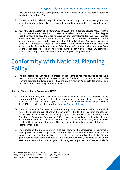that a SEA is not required. Consequently, no SA incorporating an SEA has been undertaken for the Neighbourhood Plan.

- 32. The Neighbourhood Plan has regard to the fundamental rights and freedoms guaranteed under the European Convention on Human Rights and complies with the Human Rights Act 1998.
- 33. Following the HRA Screening Report it was concluded that a Habitat Regulations Assessment was not necessary so one has not been undertaken. In the vicinity of the Claypole Neighbourhood Plan area there are no European and International designations of interest. In South Kesteven there are the Baston Fen SAC and Grimsthorpe SAC, both near to Bourne. In neighbouring Newark and Sherwood is the Birklands/Bilhaugh SAC which is west of Ollerton. The latter of these is the closest to the Neighbourhood Plan area lying approximately 27km to the north-west. Grimsthorpe SAC is the next closest at some 34km to the south-east. Accordingly, the Neighbourhood Plan will not have any significant environmental impact on any International or European designated sites.

### Conformity with National Planning **Policy**

34. The Neighbourhood Plan has been prepared with regard to national policies as set out in the National Planning Policy Framework (NPPF) of July 2021. It is also mindful of the Planning Practice Guidance published by the Government in April 2014 (as amended) in respect of formulating neighbourhood plans.

#### **National Planning Policy Framework (NPPF)**

- 35. Throughout this Neighbourhood Plan reference is made to the National Planning Policy Framework (NPPF). The NPPF sets out the government's planning policies for England and how these are expected to be applied. The latest version of the [NPPF](https://www.gov.uk/guidance/national-planning-policy-framework)<sup>6</sup> was published in July 2021 and is also supplemented by [Planning Practice Guidance](https://www.gov.uk/government/collections/planning-practice-guidance)<sup>7</sup>.
- 36. The NPPF provides a framework to produce locally distinctive Neighbourhood Plans which reflect the needs and aspirations of the community. The NPPF is clear that the planning system remains plan led. As set out in paragraph 2 of the NPPF, Section 38(6) of the Planning and Compulsory Purchase Act 2004 remains unchanged and requires that planning applications must be determined in accordance with the development plan, unless material considerations indicate otherwise. The development plan is explained later in this Neighbourhood Plan.
- 37. The purpose of the planning system is to contribute to the achievement of sustainable development. At a very high level, the objective of sustainable development can be summarised as meeting the needs of the present without compromising the ability of future generations to meet their own needs<sup>8</sup>. At a similarly high level, members of the United Nations – including the United Kingdom – have agreed to pursue the 17 Global Goals for

<sup>6</sup> https://www.gov.uk/guidance/national-planning-policy-framework

<sup>7</sup> https://www.gov.uk/government/collections/planning-practice-guidance

<sup>8</sup> Resolution 42/187 of the United Nations General Assembly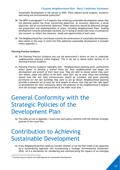Sustainable Development in the period to 2030. These address social progress, economic well-being and environmental protection<sup>9</sup>.

- 38. The NPPF in paragraphs 7 to 9 explains that achieving sustainable development means that the planning system has three overarching objectives: an economic objective; a social objective; and an environmental objective. These objectives should be delivered through the preparation and implementation of plans, including Neighbourhood Plans. Guiding development towards sustainable solutions, but in doing so should take local circumstances into account, to reflect the character, needs and opportunities of each area.
- 39. The Neighbourhood Plan contributes towards the achievement of sustainable development. More detail on the ways in which this Plan addresses sustainable development is included within Appendix 2.

#### **Planning Practice Guidance**

- 40. The Planning Practice Guidance sets out the government's advice on how to undertake neighbourhood planning within England. This is set out in detail within Section 41 of Planning Practice Guidance.
- 41. Planning Practice Guidance highlights that: *"Neighbourhood planning gives communities direct power to develop a shared vision for their neighbourhood and shape the development and growth of their local area. They are able to choose where they want new homes, shops and offices to be built, have their say on what those new buildings should look like and what infrastructure should be provided, and grant planning permission for the new buildings they want to see go ahead. Neighbourhood planning provides a powerful set of tools for local people to ensure that they get the right types of development for their community where the ambition of the neighbourhood is aligned with the strategic needs and priorities of the wider local area."*

### General Conformity with the Strategic Policies of the Development Plan

42. The table set out in Appendix 1 shows how each policy conforms with the relevant strategic policies of the Local Plan.

### Contribution to Achieving Sustainable Development

43. Every Neighbourhood Plan needs to consider whether or not the Plan needs to be supported by a Sustainability Appraisal (SA) incorporating a Strategic Environmental Assessment (SEA). SA is a mechanism for considering and communicating the impacts of an emerging

<sup>9</sup> Transforming our World: the 2030 Agenda for Sustainable Development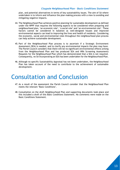plan, and potential alternatives in terms of key sustainability issues. The aim of SA where undertaken is to inform and influence the plan-making process with a view to avoiding and mitigating negative impacts.

- 44. The Neighbourhood Plan achieves positive planning for sustainable development as defined under the NPPF that requires the following aspects to be considered when preparing and neighbourhood plan, 'an economic role', 'a social role' and 'an environmental role'. These factors cannot be considered in isolation as well-designed houses and improved environmental aspects can lead to improving the lives and health of residents. Considering the economic, social and environmental roles throughout the neighbourhood plan process can help achieve sustainable development.
- 45. Part of the Neighbourhood Plan process is to ascertain if a Strategic Environment Assessment (SEA) is needed, and to clarify any environmental impacts the plan may have. The Parish Council considers that there will be no significant environmental effects arising from the Neighbourhood Plan and has produced SEA and HRA Screening Assessments Requests for the Neighbourhood Plan which has demonstrated that a SEA is not required. Consequently, no SA incorporating an SEA has been undertaken for the Neighbourhood Plan.
- 46. Although no specific Sustainability Appraisal has not been undertaken, the Neighbourhood Plan has taken account of the need to contribute to the achievement of sustainable development.

### Consultation and Conclusion

- 47. As a result of the assessment the Parish Council consider that the Neighbourhood Plan meets the relevant 'Basic Conditions'.
- 48. Consultation on the draft Neighbourhood Plan and supporting documents took place and this included a draft of this Basic Conditions Statement. No comments were made on the Basic Conditions Statement.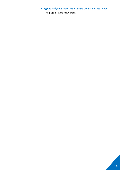This page is intentionally blank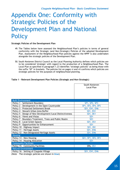# Appendix One: Conformity with Strategic Policies of the Development Plan and National **Policy**

#### **Strategic Policies of the Development Plan**

- 49. The Tables below have assessed the Neighbourhood Plan's policies in terms of general conformity with the Strategic (and Non-Strategic) Policies of the adopted Development Plan. Assessment of the Neighbourhood Plan policies against the NPPF is also undertaken alongside the strategic policies of the Development Plan.
- 50. South Kesteven District Council as the Local Planning Authority defines which policies are to be considered 'strategic' with regard to the production of a Neighbourhood Plan. The Local Plan as specified in paragraph 1.23 identifies 'strategic policies' as being those with the suffix 'SP' in brackets. The policies list on pages vi and vii confirms which policies are strategic policies for the purposes of neighbourhood planning.

#### **Table 1 – Relevant Development Plan Policies (Strategic and Non-Strategic)**

|                                                            | South Kesteven<br>Local Plan |  |  |
|------------------------------------------------------------|------------------------------|--|--|
|                                                            |                              |  |  |
|                                                            |                              |  |  |
|                                                            |                              |  |  |
| <b>Built Environment</b>                                   |                              |  |  |
| Policy 1 - Settlement Boundary                             | SP1, SP2, SP3                |  |  |
| Policy 2 - Development in the Open Countryside             | SP1, SP2, SP4, SP5           |  |  |
| Policy 3 - Protected Settlement Break                      | SD1, EN1, EN6                |  |  |
| Policy 4 - Newark Urban Area Buffer                        | SD1, EN1                     |  |  |
| Policy 5 - Design of New Development/Local Distinctiveness | <b>SD1, DE1</b>              |  |  |
| Policy 6 - Views and Vistas                                | SD <sub>1</sub>              |  |  |
| Policy 7 - Boundary Treatment, Trees and Public Realm      | SD <sub>1</sub>              |  |  |
| Policy 8 - Local Green Spaces                              | SD1, OS1                     |  |  |
| Policy 9 - Opportunities for Enhancement                   | SD <sub>1</sub>              |  |  |
| Policy 10 - Highway Impact                                 | <b>SD1, ID2</b>              |  |  |
| Policy 11 - Heritage Assets                                | SD1, EN6                     |  |  |
| Policy 12 - Non-Designated Heritage Assets                 | SD1, EN6                     |  |  |
| <b>Housing</b>                                             |                              |  |  |
| Policy 13 - New Housing                                    | SD1, SP1, SP2, SP3           |  |  |
| Policy 14 - Housing Allocation                             | SD <sub>1</sub>              |  |  |
| <b>Community Facilities</b>                                |                              |  |  |
| Policy 15 - Community Facilities                           | SP6, OS1                     |  |  |
| <b>Natural Environment</b>                                 |                              |  |  |
| Policy 16 - Setting of Claypole Village                    | SD1, EN1, EN6                |  |  |

(Note – The strategic policies are shown in **blue**)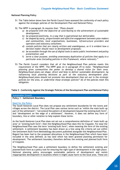#### **National Planning Policy**

- 51. The Table below shows how the Parish Council have assessed the conformity of each policy against the strategic policies of the Development Plan and National Policy.
- 52. The NPPF in paragraph 16 requires that: *"Plans should:*
	- *a) be prepared with the objective of contributing to the achievement of sustainable development;*
	- *b) be prepared positively, in a way that is aspirational but deliverable;*
	- *c) be shaped by early, proportionate and effective engagement between plan-makers and communities, local organisations, businesses, infrastructure providers and operators and statutory consultees;*
	- *d) contain policies that are clearly written and unambiguous, so it is evident how a decision maker should react to development proposals;*
	- *e) be accessible through the use of digital tools to assist public involvement and policy presentation; and*
	- f) *serve a clear purpose, avoiding unnecessary duplication of policies that apply to a particular area (including policies in this Framework, where relevant)."*
- 53. The Parish Council considers that all of the Neighbourhood Plan policies meets this requirement of the NPPF. The NPPF goes on in paragraph 29 to state: *"Neighbourhood planning gives communities the power to develop a shared vision for their area. Neighbourhood plans can shape, direct and help to deliver sustainable development, by influencing local planning decisions as part of the statutory development plan. Neighbourhood plans should not promote less development than set out in the strategic policies for the area, or undermine those strategic policies"* All of the policies meet this obligation.

#### **Table 2 - Conformity Against the Strategic Policies of the Development Plan and National Policy**

#### Sustainable Growth

#### **Policy 1 – Settlement Boundary**

#### Need for the Policy

The South Kesteven Local Plan does not propose any settlement boundaries for the towns and villages across the district. The Local Plan uses various terms such as 'within the main built-up part of the settlement'; 'not extend the pattern of development beyond the existing built form'; and 'development on the edge of a settlement'. However, it does not define any form of boundary, line or other notation to help explain these terms.

As the South Kesteven Local Plan does not set out a comprehensive definition of 'main built-up area' or 'existing built form'; then the Neighbourhood Plan does this for Claypole. For ease the Neighbourhood Plan uses the term 'existing built form'; when meaning the form of the existing settlement. A settlement boundary has been drawn as a line using the criteria set out within the Settlement Built Form Methodology document published alongside this Neighbourhood Plan. Regard has been had to the proposed allocations in the Neighbourhood Plan which have been included in the area defined; as has land which has been granted planning permission for development. The settlement boundary therefore defines the existing and planned built form of Claypole.

The Neighbourhood Plan uses a settlement boundary to define the settlement existing and planned built form as a policy tool for ensuring the right type of development in the right place. National planning policy encourages sustainable patterns of development and resists inappropriate development in locations where it might cause harm to the local area. These are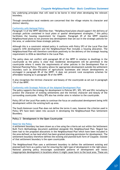key underlying principles that will need to be borne in mind when developing the relevant boundary.

Through consultation local residents are concerned that the village retains its character and distinct identity.

#### Conformity with National Policy

Paragraph 13 of the NPPF identifies that: *"Neighbourhood plans should support the delivery of strategic policies contained in local plans or spatial development strategies…"* this policy facilitates the housing requirement for Claypole. Paragraph 29 of the NPPF requires Neighbourhood plans to not promote less development than set out in the strategic policies for the area, or undermine those strategic policies.

Although this is a constraint related policy it conforms with Policy SP3 of the Local Plan that supports infill development and the Neighbourhood Plan includes a housing allocation. The Neighbourhood Plan will therefore contribute positively to the delivery of the strategic housing requirement to 2036 as identified in the Local Plan.

The policy does not conflict with paragraph 80 of the NPPF in relation to dwellings in the countryside as the policy is clear that residential development will be permitted in the countryside where it meets the requirements of other policies in the Development Plan or National Planning Policy. The policy allows for appropriate development outside the settlement boundary such as diversification of agricultural businesses and leisure developments as envisaged in paragraph 85 of the NPPF. It does not prevent rural exceptions schemes for affordable housing as in paragraph 78 of the NPPF.

It also recognises the intrinsic character and beauty of the countryside as set out in paragraph 174 of the NPPF.

#### Conformity with Strategic Policies of the Adopted Development Plan

The policy supports the strategy for development in Policies SP1, SP2, SP3 and SP4; including to protect the character of existing settlements and the intrinsic character and beauty of the surrounding countryside. Policy SP5 also has similar aims in relation to the countryside.

Policy SP3 of the Local Plan seeks to continue the focus on unallocated development being infill development within the existing built-up area.

The South Kesteven Local Plan does not define the terms it uses, however the criterion used in Policy SP3 have been taken into account in developing the Neighbourhood Plan Settlement Boundary.

#### **Policy 2 – Development in the Open Countryside**

#### Need for the Policy

A settlement boundary has been drawn as a line using the criteria set out within the Settlement Built Form Methodology document published alongside this Neighbourhood Plan. Regard has been had to the proposed allocations in the Neighbourhood Plan which have been included in the area defined; as has land which has been granted planning permission for development. The settlement boundary therefore defines the existing and planned built form of Claypole. Outside of that settlement boundary is the open countryside.

The Neighbourhood Plan uses a settlement boundary to define the settlement existing and planned built form as a policy tool for ensuring the right type of development in the right place. National planning policy encourages sustainable patterns of development and resists inappropriate development in locations where it might cause harm to the local area. These are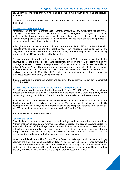key underlying principles that will need to be borne in mind when developing the relevant boundary.

Through consultation local residents are concerned that the village retains its character and distinct identity.

#### Conformity with National Policy

Paragraph 13 of the NPPF identifies that: *"Neighbourhood plans should support the delivery of strategic policies contained in local plans or spatial development strategies…"* this policy facilitates the housing requirement for Claypole. Paragraph 29 of the NPPF requires Neighbourhood plans to not promote less development than set out in the strategic policies for the area, or undermine those strategic policies.

Although this is a constraint related policy it conforms with Policy SP3 of the Local Plan that supports infill development and the Neighbourhood Plan includes a housing allocation. The Neighbourhood Plan will therefore contribute positively to the delivery of the strategic housing requirement to 2036 as identified in the Local Plan.

The policy does not conflict with paragraph 80 of the NPPF in relation to dwellings in the countryside as the policy is clear that residential development will be permitted in the countryside where it meets the requirements of other policies in the Development Plan or National Planning Policy. The policy allows for appropriate development outside the settlement boundary such as diversification of agricultural businesses and leisure developments as envisaged in paragraph 85 of the NPPF. It does not prevent rural exceptions schemes for affordable housing as in paragraph 78 of the NPPF.

It also recognises the intrinsic character and beauty of the countryside as set out in paragraph 174 of the NPPF.

#### Conformity with Strategic Policies of the Adopted Development Plan

The policy supports the strategy for development in Policies SP1, SP2, SP3 and SP4; including to protect the character of existing settlements and the intrinsic character and beauty of the surrounding countryside. Policy SP5 also has similar aims in relation to the countryside.

Policy SP3 of the Local Plan seeks to continue the focus on unallocated development being infill development within the existing built-up area. The policy would allow for residential development in the countryside where it meets one of the exceptions referred to in Policies SP4 and SP5 of the South Kesteven Local Plan and National Planning Policy.

#### **Policy 3 – Protected Settlement Break**

#### Need for the Policy

Claypole is a settlement in two parts: the main village; and the area adjacent to the River Witham that can be colloquially referred to as Claypole Bridge. The area of Claypole Bridge was historically the part of the village where the Newark Union Workhouse was located; this was redeveloped and is where Gretton Close now lies. The fact that the main village and Claypole Bridge have remained visually and spatially distinct from each other has allowed the historic settlement form to be retained with a gap between these two areas.

Some limited development Nos.7, 18  $\&$  20 Main Street has taken place within the historic gap between the main village and Claypole Bridge. This has not yet led to coalescence between the two parts of the settlement; but additional development such as agricultural built development could threaten the historic settlement form and lead to coalescence between the main village and Claypole Bridge. This would harm the important character of Claypole.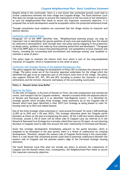Despite being in the countryside, there is a real threat that unchecked growth could lead to further coalescence between the main village and Claypole Bridge. The South Kesteven Local Plan does not include any policy to prevent the coalescence of the two areas of the settlement; as such the Neighbourhood Plan needs to secure this important community objective. It is proposed that no built development would be acceptable within the protected settlement break

Through consultation local residents are concerned that the village retains its character and distinct identity.

#### Conformity with National Policy

Paragraph 127 of the NPPF identifies that: *"Neighbourhood planning groups can play an important role in identifying the special qualities of each area and explaining how this should be reflected in development, both through their own plans and by engaging in the production of design policy, guidance and codes by local planning authorities and developers."* Paragraph 130 of the NPPF goes on to ensure that planning policies 'are sympathetic to local character and history, including the surrounding built environment and landscape setting' and 'establish or maintain a sense of place'.

This policy looks to maintain the historic built form which is part of the long-established character of Claypole; which is fundamental to the sense of place.

#### Conformity with Strategic Policies of the Adopted Development Plan

The policy supports the strategy for development in Policy SD1 to maintain the character of the village. The policy arose out of the character appraisal undertaken for the village which has identified this gap to be an important part of the historic built form of the village. The policy also supports Policies SP2, SP3, SP4 and SP5; including to protect the character of existing settlements and the intrinsic character and beauty of the surrounding countryside.

#### **Policy 4 – Newark Urban Area Buffer**

#### Need for the Policy

To the west of Claypole, is the town of Newark on Trent, the main employment and commercial centre, and transport hub for Claypole residents. Newark is located within the adjacent district of Newark and Sherwood and it is an identified 'Sub-Regional Centre'. It is identified for strategic growth which includes three strategic urban extensions all on the Claypole side of Newark which have been identified in their 2019 Core Strategy as being phased to cater for housing need up to 2033 and indeed beyond.

One of the three strategic urban extensions is 'Land around Fernwood' for some 3,200 dwellings (2,095 up to 2033 and 1,105 post 2033). This strategic allocation abuts the Claypole parish boundary as shown on the plan accompanying the policy. Of the 3,200 new homes allocated for Fernwood, around 2,150 of them will be either side of Claypole Lane (as referred to in the Newark & Sherwood Core Strategy but is actually called Shire Lane on OS maps). As such planning decisions in Claypole need to take into account the inter-relationship to Fernwood and Newark.

Given this strategic development immediately adjacent to the parish boundary which is proposed to be developed in the plan period; there is a threat of coalescence by creeping development. Therefore, despite the western side of Claypole Parish being in the countryside, there is a real threat that unchecked growth could lead to potential coalescence between the western side of Claypole and the planned eastern edge of the Fernwood strategic housing allocation.

The South Kesteven Local Plan does not include any policy to prevent the coalescence of Claypole and the Newark Urban Area. Consequently, the Neighbourhood Plan needs to secure this important community objective.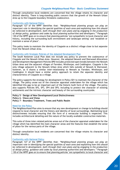Through consultation local residents are concerned that the village retains its character and distinct identity. There is long-standing public concern that the growth of the Newark Urban Area up to the Claypole boundary threatens coalescence.

#### Conformity with National Policy

Paragraph 127 of the NPPF identifies that: *"Neighbourhood planning groups can play an important role in identifying the special qualities of each area and explaining how this should be reflected in development, both through their own plans and by engaging in the production of design policy, guidance and codes by local planning authorities and developers."* Paragraph 130 of the NPPF goes on to ensure that planning policies 'are sympathetic to local character and history, including the surrounding built environment and landscape setting' and 'establish or maintain a sense of place'.

This policy looks to maintain the identity of Claypole as a distinct village close to but separate from the Newark Urban Area.

#### Conformity with Strategic Policies of the Adopted Development Plan

The South Kesteven Local Plan does not include any policy to prevent the coalescence of Claypole and the Newark Urban Area. However, the adopted Newark and Sherwood Allocations and Development Management Policies DPD includes protected open breaks between the Newark Urban Area and the adjacent villages of Farndon; Winthorpe; and Coddington. Claypole is the only village adjacent to the Newark Urban Area which falls outside of Newark & Sherwood; however, as it shares a similar inter-relationship to Newark as Farndon; Winthorpe; and Coddington it should have a similar policy approach to retain the separate identity and characteristics of Claypole as a village.

The policy supports the strategy for development in Policy SD1 to maintain the character of the village. The policy arose out of the character appraisal undertaken for the village which has identified this gap to be an important part of the historic built form of the village. The policy also supports Policies SP2, SP3, SP4 and SP5; including to protect the character of existing settlements and the intrinsic character and beauty of the surrounding countryside.

#### **Policy 5 – Design of New Development/Local Distinctiveness Policy 6 - Views and Vistas Policy 7 – Boundary Treatment, Trees and Public Realm**

#### Need for the Policy

The Neighbourhood Plan aims to ensure that any new development or change to buildings should respond to local character and the history and identity of local surroundings. Maintaining local distinctiveness includes ensuring that the form of a vernacular building is respected. This includes architectural detailing and the nature of the locally available construction materials.

This suite of three inter-related policies arose out of the character appraisal undertaken for the village which has identified the main character areas and the features that establish the sense of place for the various parts of the village.

Through consultation local residents are concerned that the village retains its character and distinct identity.

#### Conformity with National Policy

Paragraph 127 of the NPPF identifies that: *"Neighbourhood planning groups can play an important role in identifying the special qualities of each area and explaining how this should be reflected in development, both through their own plans and by engaging in the production of design policy, guidance and codes by local planning authorities and developers."* Paragraph 130 of the NPPF goes on to ensure that planning policies 'are sympathetic to local character and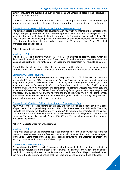history, including the surrounding built environment and landscape setting' and 'establish or maintain a sense of place'.

This suite of policies looks to identify what are the special qualities of each part of the village, how development can reflect the character and ensure that the sense of place is maintained.

#### Conformity with Strategic Policies of the Adopted Development Plan

The policy supports the strategy for development in Policy SD1 to maintain the character of the village. The policy arose out of the character appraisal undertaken for the village which has identified the various features looking to be protected. The policy also supports Policies SP2, SP3, SP4 and SP5; including to protect the character of existing settlements and the intrinsic character and beauty of the surrounding countryside. They also reflect Policy DE1 which promotes good quality design.

#### **Policy 8 – Local Green Spaces**

#### Need for the Policy

The NPPF sets out a positive framework for local communities to identify areas which are demonstrably special to them as Local Green Space. A number of areas were considered and assessed against the criteria for Local Green Space and the designation was found to be suitable.

Consultation has demonstrated that the green spaces within Claypole are of value to local residents, this is one of a suite of policies to protect the built environment of the village.

#### Conformity with National Policy

The policy complies with the requirements of paragraphs 101 to 103 of the NPPF. In particular paragraph 101 states: *"The designation of land as Local Green Space through local and neighbourhood plans allows communities to identify and protect green areas of particular importance to them. Designating land as Local Green Space should be consistent with the local planning of sustainable development and complement investment in sufficient homes, jobs and other essential services. Local Green Spaces should only be designated when a plan is prepared or updated, and be capable of enduring beyond the end of the plan period."* The Neighbourhood Plan delivers sufficient opportunities for sustainable growth whilst protecting the green areas of particular importance to the local community.

#### Conformity with Strategic Policies of the Adopted Development Plan

Policy OS1 looks to protect existing open space, although it does not identify any actual areas of open space. The proposed Neighbourhood Plan policy is consistent with Policy OS1. The policy supports the strategy for development in Policy SD1 to maintain the character of the village. The policy arose out of the character appraisal undertaken for the village which has identified the areas. The policy also supports Policies SP2, SP3 and SP4; including to protect the character of existing settlements.

#### **Policy 9 – Opportunities for Enhancement**

#### Need for the Policy

This policy arose out of the character appraisal undertaken for the village which has identified the main character areas and the features that establish the sense of place for the various parts of the village. Some areas of the village present an opportunity for enhancement to improve the existing character and appearance of the village.

#### Conformity with National Policy

Paragraph 8 of the NPPF as part of sustainable development looks for planning to protect and enhance our natural, built and historic environment. This is part of the wider suite of policies that looks to identify what are the special qualities of each part of the village, how development can reflect the character and ensure that the sense of place is maintained and enhanced.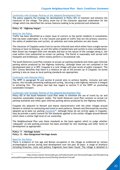#### Conformity with Strategic Policies of the Adopted Development Plan

The policy supports the strategy for development in Policy SD1 to maintain and enhance the character of the village. The policy arose out of the character appraisal undertaken for the village which has identified the various features looking to be protected and enhanced.

#### **Policy 10 – Highway Impact**

#### Need for the Policy

Traffic has been identified as a major issue of concern to the parish residents in consultation that has been undertaken. It is the volume and speed of traffic that are the primary concerns; the safety of pedestrians and cyclists, air pollution and noise pollution are also issues.

The character of Claypole comes from its narrow informal lane which either have a single narrow footway or have no footway, as such the safety of pedestrians and cyclists is a key consideration. Main Street has changed little over decades and due to the nature of the cottages along it, the road suffers from substantial on-street car parking. The Parish is reasonably well served with footpaths and bridleways, which mostly perform a recreational role.

The South Kesteven Local Plan contains no actual car parking standards and relies upon informal parking advice produced by the Highway Authority, although these are not contained in the development plan or in SPD. Claypole is a rural village with poor levels of public transport. The 2011 Census identifies that there is a reliance on use of the private car in Claypole; on-street parking is also an issue so local parking standards are appropriate.

#### Conformity with National Policy

The NPPF in paragraph 92 and section 8 overall aims to achieve healthy, inclusive and safe places, this includes promoting walking and cycling. Securing a safe highway network is integral to achieving this. The policy had had due regard to section 9 of the NPPF on promoting sustainable transport.

#### Conformity with Strategic Policies of the Adopted Development Plan

Policy ID2 of the South Kesteven Local Plan seeks to minimise the use of travel by car and maximise sustainable transport modes. The South Kesteven Local Plan contains no actual car parking standards and relies upon informal parking advice produced by the Highway Authority.

Claypole sits adjacent to Newark and shares characteristics with the other villages around Newark in relation to commuting and travel to work patterns. Newark and Sherwood has recently adopted up-to-date car parking [standards](https://www.newark-sherwooddc.gov.uk/media/newark-and-sherwood/images-and-files/planning-policy/pdfs/supplementary-planning-documents/Parking-Standards-Final.pdf)<sup>10</sup>. Although these do not strictly apply in Claypole, they do provide a useful context for the standards applied to the similar villages around Newark which share a similar high level of car ownership.

The Neighbourhood Plan uses these standards as the basis against which to judge whether 'adequate' on-site parking provision has been provided for new dwellings and other forms of development as appropriate.

#### **Policy 11 - Heritage Assets Policy 12 – Non-Designated Heritage Assets**

#### Need for the Policy

There is evidence of iron age and Roman occupation in the village as evidenced by various archaeological surveys during land development over the past 30 years. A range of artefacts including brooches, coins and pottery fragments have been found. The village is detailed in

<sup>10</sup> https://www.newark-sherwooddc.gov.uk/media/newark-and-sherwood/images-and-files/planningpolicy/pdfs/supplementary-planning-documents/Parking-Standards-Final.pdf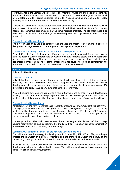several entries in the Domesday Book of 1086. The medieval village of Claypole itself is identified in the Lincolnshire Historic Environment Record. There are 10 Listed Buildings within the Parish of Claypole; 9 Grade II Listed Buildings, no Grade II\* Listed Building and one Grade I Listed Building. In addition, there is one Scheduled Monument (SAM).

Claypole has a number of architecturally valuable and important old buildings or buildings which are important historically which are not statutorily listed. The Lincolnshire Historic Environment Record lists numerous properties as having some heritage interest. The Neighbourhood Plan identifies 'Locally Important Buildings' as non-designated heritage assets in the Character Appraisal.

#### Conformity with National Policy

The NPPF in Section 16 looks to conserve and enhance the historic environment. It addresses designated heritage assets and non-designated heritage assets separately.

#### Conformity with Strategic Policies of the Adopted Development Plan

Policy EN6 of the South Kesteven Local Plan sets out an overall framework for heritage assets, albeit it doesn't clearly differentiate between designated heritage assets and non-designated heritage assets. The Local Plan has not undertaken any process or methodology to identify nondesignated heritage assets; the Neighbourhood Plan has sought to do so to complement the information contained in the Lincolnshire Historic Environment Record.

#### **Housing**

#### **Policy 13 - New Housing**

#### Need for the Policy

Notwithstanding the position of Claypole in the fourth and lowest tier of the settlement hierarchy the South Kesteven Local Plan; Claypole has not been immune to housing development. In recent decades the village has more than doubled in size from around 250 dwellings in the early 1980s to 570 dwellings at the present time.

Windfall housing development has played a role in Claypole and further windfall development is likely to come forward over the plan period 2021 to 2036. The Neighbourhood Plan wants to facilitate this whilst ensuring that it respects the character and sense of place of the village.

#### Conformity with National Policy

Paragraph 13 of the NPPF identifies that: *"Neighbourhood plans should support the delivery of strategic policies contained in local plans or spatial development strategies…"* this policy facilitates the housing requirement for Claypole. Paragraph 29 of the NPPF requires Neighbourhood plans to not promote less development than set out in the strategic policies for the area, or undermine those strategic policies.

The Neighbourhood Plan will therefore contribute positively to the delivery of the strategic housing requirement to 2036 as identified in the Local Plan. The policy supports paragraph 79 of the NPPF in relation to dwellings in rural villages.

#### Conformity with Strategic Policies of the Adopted Development Plan

The policy supports the strategy for development in Policies SP1, SP2, SP3 and SP4; including to protect the character of existing settlements and the intrinsic character and beauty of the surrounding countryside. Policy SP5 also has similar aims in relation to the countryside.

Policy SP3 of the Local Plan seeks to continue the focus on unallocated development being infill development within the existing built-up area. The policy also allows for larger proposals to come forward in certain circumstances.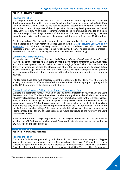#### **Policy 14 – Housing Allocation**

#### Need for the Policy

The Neighbourhood Plan has explored the provision of allocating land for residential development consistent with its status as a 'smaller village' over the plan period to 2036. From the public consultation 63% want to see new development located on a number of smaller sites within the current built-up area of the village; with 22% wanting development on 2 or 3 small sites. Conversely only 7% of those responding wanted to see future housing provided on a single site on the edge of the village. In terms of the number of houses those responding considered would be appropriate for Claypole over the plan period; the median figure was 16-20 dwellings

The Neighbourhood Plan has undertaken a site selection exercise; this builds on the previous work undertaken by South Kesteven District Council in the [Strategic Housing Land Availability](http://www.southkesteven.gov.uk/index.aspx?articleid=8491)   $Assessment<sup>11</sup>$  $Assessment<sup>11</sup>$ . In addition, the Neighbourhood Plan has considered sites which have been suggested during early consultation on the Neighbourhood Plan. The site selection process is detailed in full in the accompanying document 'Site Selection Methodology'.

#### Conformity with National Policy

Paragraph 13 of the NPPF identifies that: *"Neighbourhood plans should support the delivery of strategic policies contained in local plans or spatial development strategies; and should shape and direct development that is outside of these strategic policies."* This policy facilitates the delivery of additional housing for Claypole and allows the local community to direct future housing in the village. Paragraph 29 of the NPPF requires Neighbourhood plans to not promote less development than set out in the strategic policies for the area, or undermine those strategic policies.

The Neighbourhood Plan will therefore contribute positively to the delivery of the strategic housing requirement to 2036 as identified in the Local Plan. The policy supports paragraph 79 of the NPPF in relation to dwellings in rural villages.

#### Conformity with Strategic Policies of the Adopted Development Plan

Claypole is a designated 'Smaller Village' in the settlement hierarchy in Policy SP2 of the South Kesteven Local Plan. The Local Plan does not allocate any sites in the 60 identified 'smaller villages' instead it identifies in Policy H1 an overall windfall allowance for these smaller villages being a total of 30 dwellings per annum. Spread evenly across each of the 60 settlements this would equate to only 0.5 dwellings per annum in each. In overall terms the South Kesteven Local Plan identifies only 4% of the housing supply coming from the 'smaller villages'. Although the supply for the 'smaller villages' is based on a windfall allowance; then any allocations in Neighbourhood Plans for any of these settlements would contribute to the figures in the South Kesteven Local Plan.

Although there is no strategic requirement for the Neighbourhood Plan to allocate land for housing; the NPPF allows for Neighbourhood Plans to allocate sites for housing over and above any strategic housing requirement.

#### Community Facilities

**Policy 15 – Community Facilities**

#### Need for the Policy

Community facilities are provided by both the public and private sectors. People in Claypole have a strong sense of community, in the Neighbourhood Plan survey 93% would recommend Claypole as a place to live, so long as it's allowed to retain its essential village characteristics. Claypole is fortunate to host some excellent community facilities. The retention of community

<sup>11</sup> http://www.southkesteven.gov.uk/index.aspx?articleid=8491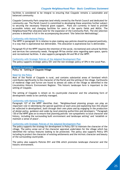facilities is considered to be integral to ensuring that Claypole remains a sustainable and balanced community.

Claypole Community Park comprises land wholly owned by the Parish Council and dedicated for community use. The Parish Council is committed to developing these amenities further subject to securing the necessary financial grant support. Plans are currently in hand to provide accessible toilets and changing facilities for users of the sports fields and MUGA. The Neighbourhood Plan allocates land for the expansion of the Community Park. The site selection process is detailed in full in the accompanying document 'Site Selection Methodology'.

#### Conformity with National Policy

The NPPF in paragraph 16 in relation to plan making says policies should be prepared positively, in a way that is aspirational but deliverable. This allocation is aspirational but is deliverable.

Paragraph 93 of the NPPF requires the retention of the social, recreational and cultural facilities and services the community needs. Paragraph 99 has similar aims regarding open space, sports and recreational facilities. It also supports paragraphs 84 and 98 of the NPPF.

#### Conformity with Strategic Policies of the Adopted Development Plan

The policy supports strategic policy OS1 and the non-strategic policy of SP6 in the Local Plan.

#### Natural Environment

**Policy 16 – Setting of Claypole Village**

#### Need for the Policy

Most of the Parish of Claypole is rural, and contains substantial areas of farmland which contributes significantly to the character of the Parish and the setting of the village. Earthworks of medieval ridge and furrow are found to almost all sides of the village as identified in the Lincolnshire Historic Environment Register. This historic landscape form is important to the setting of Claypole.

The setting of Claypole is reliant on its countryside character and the urbanising form of development needs to be carefully managed.

#### Conformity with National Policy

Paragraph 127 of the NPPF identifies that: *"Neighbourhood planning groups can play an important role in identifying the special qualities of each area and explaining how this should be reflected in development, both through their own plans and by engaging in the production of design policy, guidance and codes by local planning authorities and developers."* Paragraph 130 of the NPPF goes on to ensure that planning policies 'are sympathetic to local character and history, including the surrounding built environment and landscape setting' and 'establish or maintain a sense of place'.

#### Conformity with Strategic Policies of the Adopted Development Plan

The policy supports the strategy for development in Policy SD1 to maintain the character of the village. The policy arose out of the character appraisal undertaken for the village which has identified the various features looking to be protected. The policy also supports Policy SP5 including to protect the character of existing settlements and the intrinsic character and beauty of the surrounding countryside.

The policy also supports Policies EN1 and EN6 which promotes landscape character and the historic environment.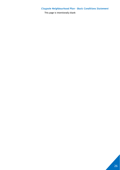This page is intentionally blank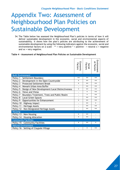# Appendix Two: Assessment of Neighbourhood Plan Policies on Sustainable Development

54. The Table below has assessed the Neighbourhood Plan's policies in terms of how it will deliver sustainable development in the economic, social and environmental aspects of sustainability. It shows how the plan's policies are attributing to the achievement of sustainable development by using the following indicators against the economic, social and environmental factors on a scale - \*\* = very positive \* = positive - = neutral  $x =$  negative and  $xx = \text{very negative.}$ 

#### **Table 4 - Assessment of Neighbourhood Plan Policies on Sustainable Development**

|                                                            | Economic<br>Factors      | Social<br>Factors | Environment<br>al Factors |
|------------------------------------------------------------|--------------------------|-------------------|---------------------------|
| <b>Built Environment</b>                                   |                          |                   |                           |
| Policy 1 - Settlement Boundary                             | **                       | $**$              | $* *$                     |
| Policy 2 - Development in the Open Countryside             | $\ast$                   | $**$              | $**$                      |
| Policy 3 - Protected Settlement Break                      | $\ast$                   | $**$              | $* *$                     |
| Policy 4 - Newark Urban Area Buffer                        |                          | $**$              | $***$                     |
| Policy 5 - Design of New Development/Local Distinctiveness | $\ast$                   | $* *$             | $* *$                     |
| Policy 6 - Views and Vistas                                | $\overline{\phantom{a}}$ | $\ast$            | $* *$                     |
| Policy 7 - Boundary Treatment, Trees and Public Realm      |                          | $\ast$            | $* *$                     |
| Policy 8 - Local Green Spaces                              |                          | $***$             | $***$                     |
| Policy 9 - Opportunities for Enhancement                   | $\ast$                   | **                | $***$                     |
| Policy 10 - Highway Impact                                 |                          | $* *$             | $\ast$                    |
| Policy 11 - Heritage Assets                                |                          | $* *$             | **                        |
| Policy 12 - Non-Designated Heritage Assets                 |                          | $**$              | $* *$                     |
| <b>Housing</b>                                             |                          |                   |                           |
| Policy 13 - New Housing                                    | $\ast$                   | $* *$             | $\overline{a}$            |
| Policy 14 - Housing Allocation                             | $\ast$                   | $* *$             |                           |
| <b>Community Facilities</b>                                |                          |                   |                           |
| Policy 15 - Community Facilities                           | $\ast$                   | $***$             | $\ast$                    |
| <b>Natural Environment</b>                                 |                          |                   |                           |
| Policy 16 - Setting of Claypole Village                    |                          | $\ast$            | $* *$                     |